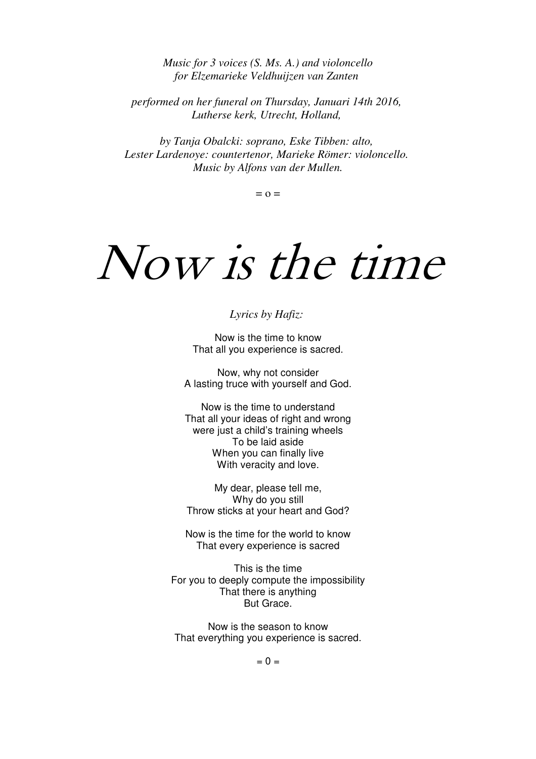*Music for 3 voices (S. Ms. A.) and violoncello for Elzemarieke Veldhuijzen van Zanten* 

*performed on her funeral on Thursday, Januari 14th 2016, Lutherse kerk, Utrecht, Holland,* 

*by Tanja Obalcki: soprano, Eske Tibben: alto, Lester Lardenoye: countertenor, Marieke Römer: violoncello. Music by Alfons van der Mullen.*

 $= 0 =$ 

## Now is the time

*Lyrics by Hafiz:* 

Now is the time to know That all you experience is sacred.

Now, why not consider A lasting truce with yourself and God.

Now is the time to understand That all your ideas of right and wrong were just a child's training wheels To be laid aside When you can finally live With veracity and love.

My dear, please tell me, Why do you still Throw sticks at your heart and God?

Now is the time for the world to know That every experience is sacred

This is the time For you to deeply compute the impossibility That there is anything But Grace.

Now is the season to know That everything you experience is sacred.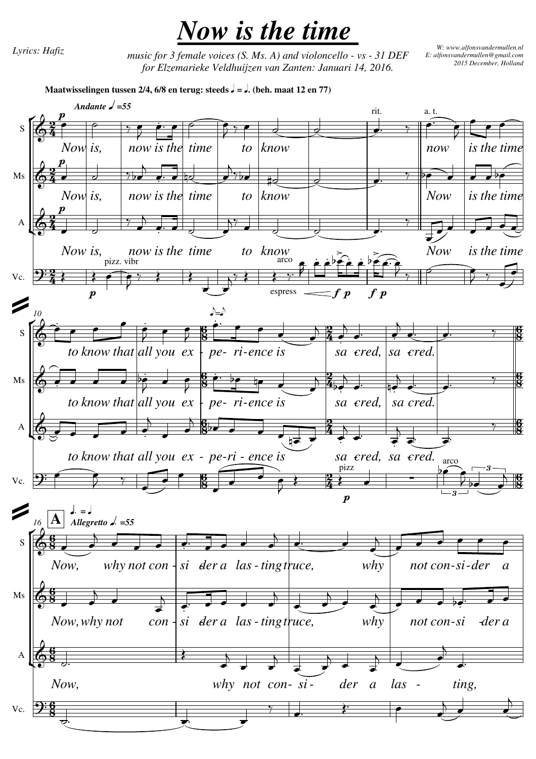## *Now is the time*

*W: www.alfonsvandermullen.nl E: alfonsvandermullen@gmail.com 2015 December, Holland*

*Lyrics: Hafiz music for 3 female voices (S. Ms. A) and violoncello - vs - 31 DEF for Elzemarieke Veldhuijzen van Zanten: Januari 14, 2016.*

**Maatwisselingen tussen 2/4, 6/8 en terug: steeds**  $\sqrt{ }$  **=**  $\sqrt{ }$ **. (beh. maat 12 en 77)** 

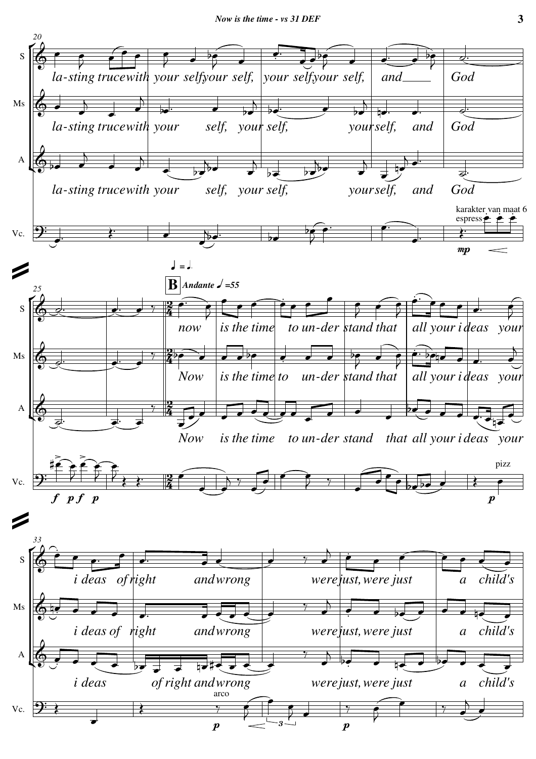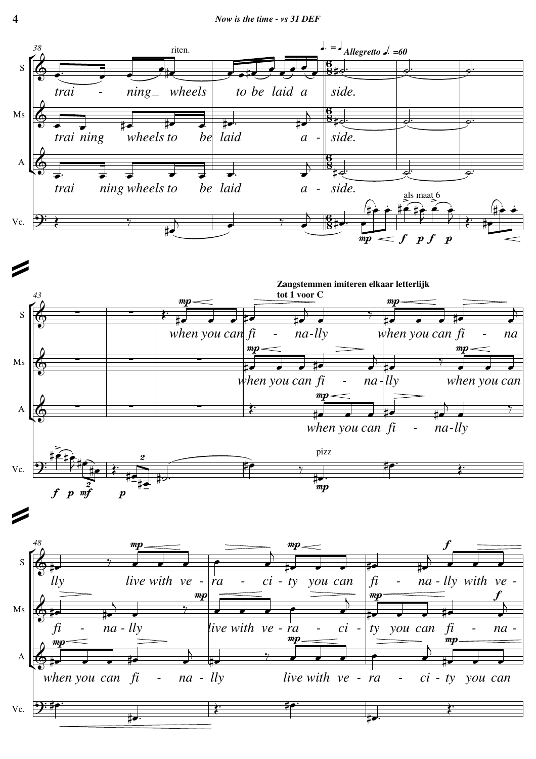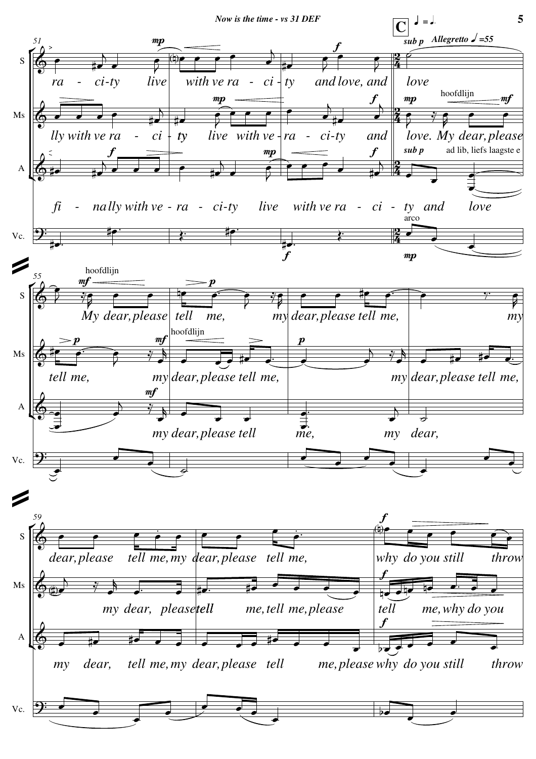

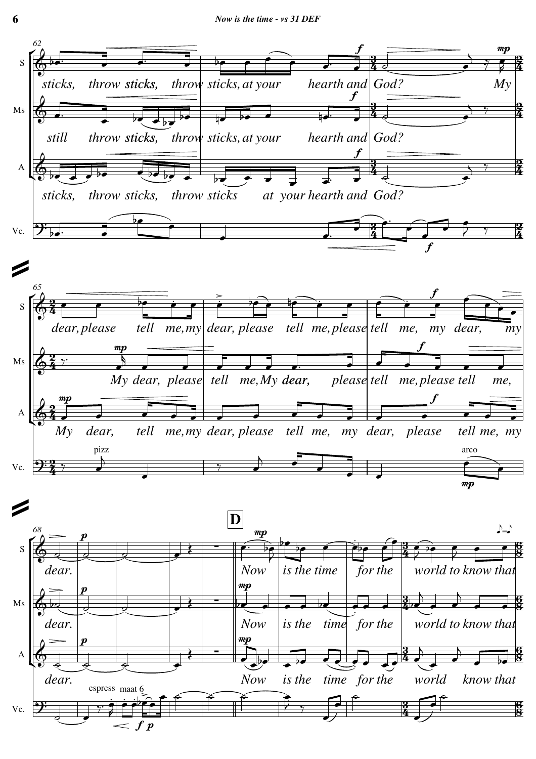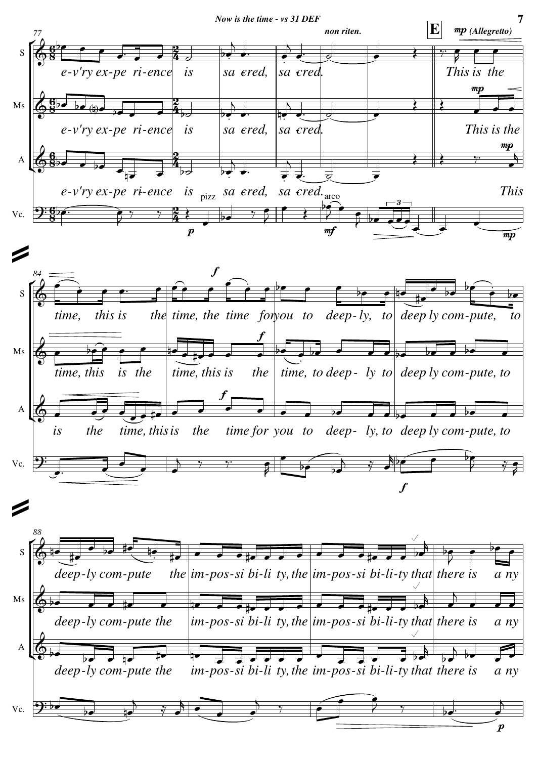